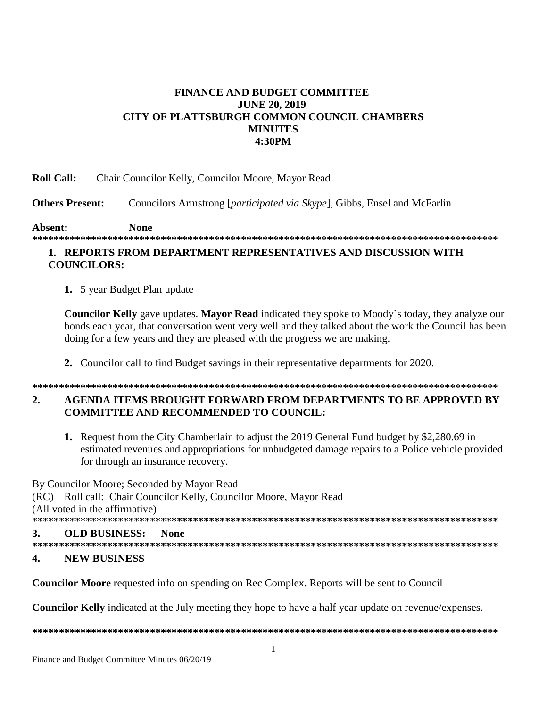## **FINANCE AND BUDGET COMMITTEE JUNE 20, 2019** CITY OF PLATTSBURGH COMMON COUNCIL CHAMBERS **MINUTES** 4:30PM

**Roll Call:** Chair Councilor Kelly, Councilor Moore, Mayor Read

**Others Present:** Councilors Armstrong [participated via Skype], Gibbs, Ensel and McFarlin

Absent: **None** 

## 1. REPORTS FROM DEPARTMENT REPRESENTATIVES AND DISCUSSION WITH **COUNCILORS:**

1. 5 year Budget Plan update

Councilor Kelly gave updates. Mayor Read indicated they spoke to Moody's today, they analyze our bonds each year, that conversation went very well and they talked about the work the Council has been doing for a few years and they are pleased with the progress we are making.

2. Councilor call to find Budget savings in their representative departments for 2020.

## $2.$ AGENDA ITEMS BROUGHT FORWARD FROM DEPARTMENTS TO BE APPROVED BY **COMMITTEE AND RECOMMENDED TO COUNCIL:**

1. Request from the City Chamberlain to adjust the 2019 General Fund budget by \$2,280.69 in estimated revenues and appropriations for unbudgeted damage repairs to a Police vehicle provided for through an insurance recovery.

By Councilor Moore; Seconded by Mayor Read (RC) Roll call: Chair Councilor Kelly, Councilor Moore, Mayor Read (All voted in the affirmative) **OLD BUSINESS: None**  $\mathbf{R}$ 

- 
- $\overline{\mathbf{4}}$ . **NEW BUSINESS**

**Councilor Moore** requested info on spending on Rec Complex. Reports will be sent to Council

**Councilor Kelly** indicated at the July meeting they hope to have a half year update on revenue/expenses.